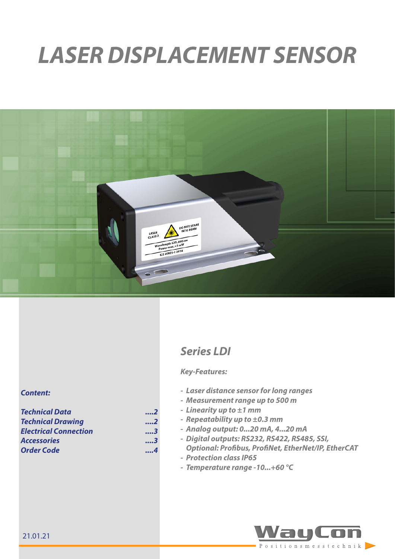# *LASER DISPLACEMENT SENSOR*



# *Series LDI*

## *Key-Features:*

- *- Laser distance sensor for long ranges*
- *- Measurement range up to 500 m*
- *- Linearity up to ±1 mm*
- *- Repeatability up to ±0.3 mm*
- *- Analog output: 0...20 mA, 4...20 mA*
- *- Digital outputs: RS232, RS422, RS485, SSI, Optional: Profibus, ProfiNet, EtherNet/IP, EtherCAT*
- *- Protection class IP65*
- *- Temperature range -10...+60 °C*



## *Content:*

| <b>Technical Data</b>        | 2   |
|------------------------------|-----|
| <b>Technical Drawing</b>     | 2   |
| <b>Electrical Connection</b> | 3   |
| <b>Accessories</b>           | . 3 |
| <b>Order Code</b>            | 4   |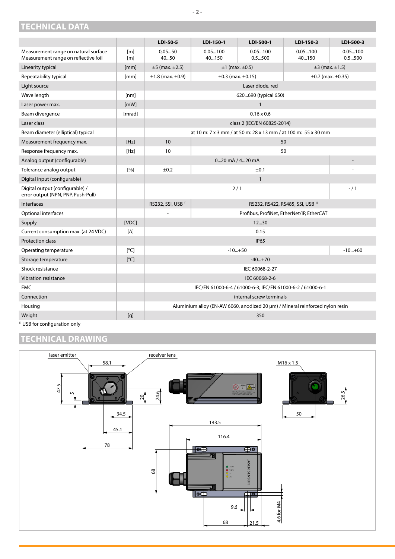# <span id="page-1-0"></span>**TECHNICAL DATA**

|                                                                              |            | LDI-50-5                                                                              | LDI-150-1        | LDI-500-1                                                      | LDI-150-3        | LDI-500-3         |
|------------------------------------------------------------------------------|------------|---------------------------------------------------------------------------------------|------------------|----------------------------------------------------------------|------------------|-------------------|
| Measurement range on natural surface<br>Measurement range on reflective foil | [m]<br>[m] | 0,0550<br>4050                                                                        | 0.05100<br>40150 | 0.05100<br>0.5500                                              | 0.05100<br>40150 | 0.05100<br>0.5500 |
| Linearity typical                                                            | [mm]       | $±5$ (max. $±2.5$ )<br>$±1$ (max. $±0.5$ )<br>$±3$ (max. $±1.5$ )                     |                  |                                                                |                  |                   |
| Repeatability typical                                                        | [mm]       | $±1.8$ (max. $±0.9$ )<br>$\pm 0.3$ (max. $\pm 0.15$ )<br>$\pm 0.7$ (max. $\pm 0.35$ ) |                  |                                                                |                  |                   |
| Light source                                                                 |            | Laser diode, red                                                                      |                  |                                                                |                  |                   |
| Wave length                                                                  | [nm]       | 620690 (typical 650)                                                                  |                  |                                                                |                  |                   |
| Laser power max.                                                             | [mW]       | $\mathbf{1}$                                                                          |                  |                                                                |                  |                   |
| Beam divergence                                                              | [mrad]     |                                                                                       |                  | $0.16 \times 0.6$                                              |                  |                   |
| Laser class                                                                  |            |                                                                                       |                  | class 2 (IEC/EN 60825-2014)                                    |                  |                   |
| Beam diameter (elliptical) typical                                           |            |                                                                                       |                  | at 10 m; 7 x 3 mm / at 50 m; 28 x 13 mm / at 100 m; 55 x 30 mm |                  |                   |
| Measurement frequency max.                                                   | [Hz]       | 10                                                                                    |                  | 50                                                             |                  |                   |
| Response frequency max.                                                      | [Hz]       | 10 <sup>°</sup>                                                                       |                  | 50                                                             |                  |                   |
| Analog output (configurable)                                                 |            | $020$ mA $/420$ mA                                                                    |                  |                                                                |                  |                   |
| Tolerance analog output                                                      | [%]        | ±0.2                                                                                  |                  | ±0.1                                                           |                  |                   |
| Digital input (configurable)                                                 |            |                                                                                       |                  | $\mathbf{1}$                                                   |                  |                   |
| Digital output (configurable) /<br>error output (NPN, PNP, Push-Pull)        |            | 2/1<br>$- / 1$                                                                        |                  |                                                                |                  |                   |
| <b>Interfaces</b>                                                            |            | RS232, SSI, USB <sup>1)</sup>                                                         |                  | RS232, RS422, RS485, SSI, USB <sup>1)</sup>                    |                  |                   |
| Optional interfaces                                                          |            |                                                                                       |                  | Profibus, ProfiNet, EtherNet/IP, EtherCAT                      |                  |                   |
| Supply                                                                       | [VDC]      |                                                                                       |                  | 12.30                                                          |                  |                   |
| Current consumption max. (at 24 VDC)                                         | [A]        |                                                                                       |                  | 0.15                                                           |                  |                   |
| Protection class                                                             |            |                                                                                       |                  | <b>IP65</b>                                                    |                  |                   |
| Operating temperature                                                        | [°C]       | $-10+60$<br>$-10+50$                                                                  |                  |                                                                |                  |                   |
| Storage temperature                                                          | [°C]       | $-40+70$                                                                              |                  |                                                                |                  |                   |
| Shock resistance                                                             |            | IEC 60068-2-27                                                                        |                  |                                                                |                  |                   |
| Vibration resistance                                                         |            | IEC 60068-2-6                                                                         |                  |                                                                |                  |                   |
| <b>EMC</b>                                                                   |            | IEC/EN 61000-6-4 / 61000-6-3; IEC/EN 61000-6-2 / 61000-6-1                            |                  |                                                                |                  |                   |
| Connection                                                                   |            | internal screw terminals                                                              |                  |                                                                |                  |                   |
| Housing                                                                      |            | Aluminium alloy (EN-AW 6060, anodized 20 µm) / Mineral reinforced nylon resin         |                  |                                                                |                  |                   |
| Weight                                                                       | [g]        |                                                                                       |                  | 350                                                            |                  |                   |

<sup>1)</sup> USB for configuration only

# <span id="page-1-1"></span>**TECHNICAL DRAWING**



## **- 2 -**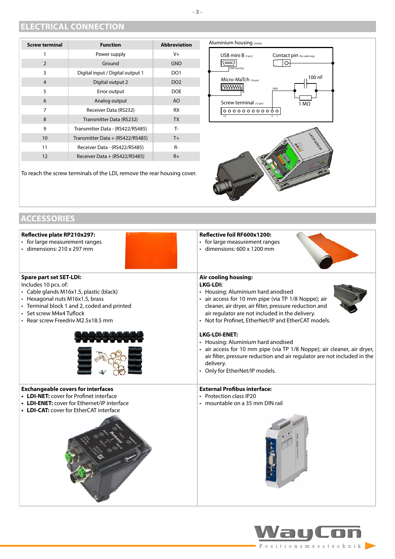## <span id="page-2-0"></span>**ELECTRICAL CONNECTION**

| <b>Screw terminal</b> | <b>Function</b>                  | <b>Abbreviation</b> |
|-----------------------|----------------------------------|---------------------|
| 1                     | Power supply                     | $V +$               |
| 2                     | Ground                           | <b>GND</b>          |
| 3                     | Digital input / Digital output 1 | DO <sub>1</sub>     |
| 4                     | Digital output 2                 | DO <sub>2</sub>     |
| 5                     | Error output                     | <b>DOE</b>          |
| 6                     | Analog output                    | AO                  |
| 7                     | Receiver Data (RS232)            | <b>RX</b>           |
| 8                     | Transmitter Data (RS232)         | <b>TX</b>           |
| 9                     | Transmitter Data - (RS422/RS485) | T-                  |
| 10 <sup>°</sup>       | Transmitter Data + (RS422/RS485) | $T+$                |
| 11                    | Receiver Data - (RS422/RS485)    | $R-$                |
| 12                    | Receiver Data + (RS422/RS485)    | $R+$                |

To reach the screw terminals of the LDI, remove the rear housing cover.



# <span id="page-2-1"></span>**ACCESSORIES**

| Reflective plate RP210x297:                                                                                                                                                    | Reflective foil RF600x1200:                                                                                                                                                                                                                                      |
|--------------------------------------------------------------------------------------------------------------------------------------------------------------------------------|------------------------------------------------------------------------------------------------------------------------------------------------------------------------------------------------------------------------------------------------------------------|
| • for large measurement ranges                                                                                                                                                 | • for large measurement ranges                                                                                                                                                                                                                                   |
| · dimensions: 210 x 297 mm                                                                                                                                                     | · dimensions: 600 x 1200 mm                                                                                                                                                                                                                                      |
| <b>Spare part set SET-LDI:</b>                                                                                                                                                 | Air cooling housing:                                                                                                                                                                                                                                             |
| Includes 10 pcs. of:                                                                                                                                                           | <b>LKG-LDI:</b>                                                                                                                                                                                                                                                  |
| • Cable glands M16x1.5, plastic (black)                                                                                                                                        | • Housing: Aluminium hard anodised                                                                                                                                                                                                                               |
| • Hexagonal nuts M16x1.5, brass                                                                                                                                                | • air access for 10 mm pipe (via TP 1/8 Noppe); air                                                                                                                                                                                                              |
| • Terminal block 1 and 2, coded and printed                                                                                                                                    | cleaner, air dryer, air filter, pressure reduction and                                                                                                                                                                                                           |
| • Set screw M4x4 Tuflock                                                                                                                                                       | air regulator are not included in the delivery.                                                                                                                                                                                                                  |
| • Rear screw Freedriv M2.5x18.5 mm                                                                                                                                             | • Not for Profinet, EtherNet/IP and EtherCAT models.                                                                                                                                                                                                             |
|                                                                                                                                                                                | <b>LKG-LDI-ENET:</b><br>• Housing: Aluminium hard anodised<br>• air access for 10 mm pipe (via TP 1/8 Noppe); air cleaner, air dryer,<br>air filter, pressure reduction and air regulator are not included in the<br>delivery.<br>• Only for EtherNet/IP models. |
| <b>Exchangeable covers for interfaces</b><br>• LDI-NET: cover for Profinet interface<br>• LDI-ENET: cover for Ethernet/IP interface<br>• LDI-CAT: cover for EtherCAT interface | <b>External Profibus interface:</b><br>• Protection class IP20<br>• mountable on a 35 mm DIN rail                                                                                                                                                                |